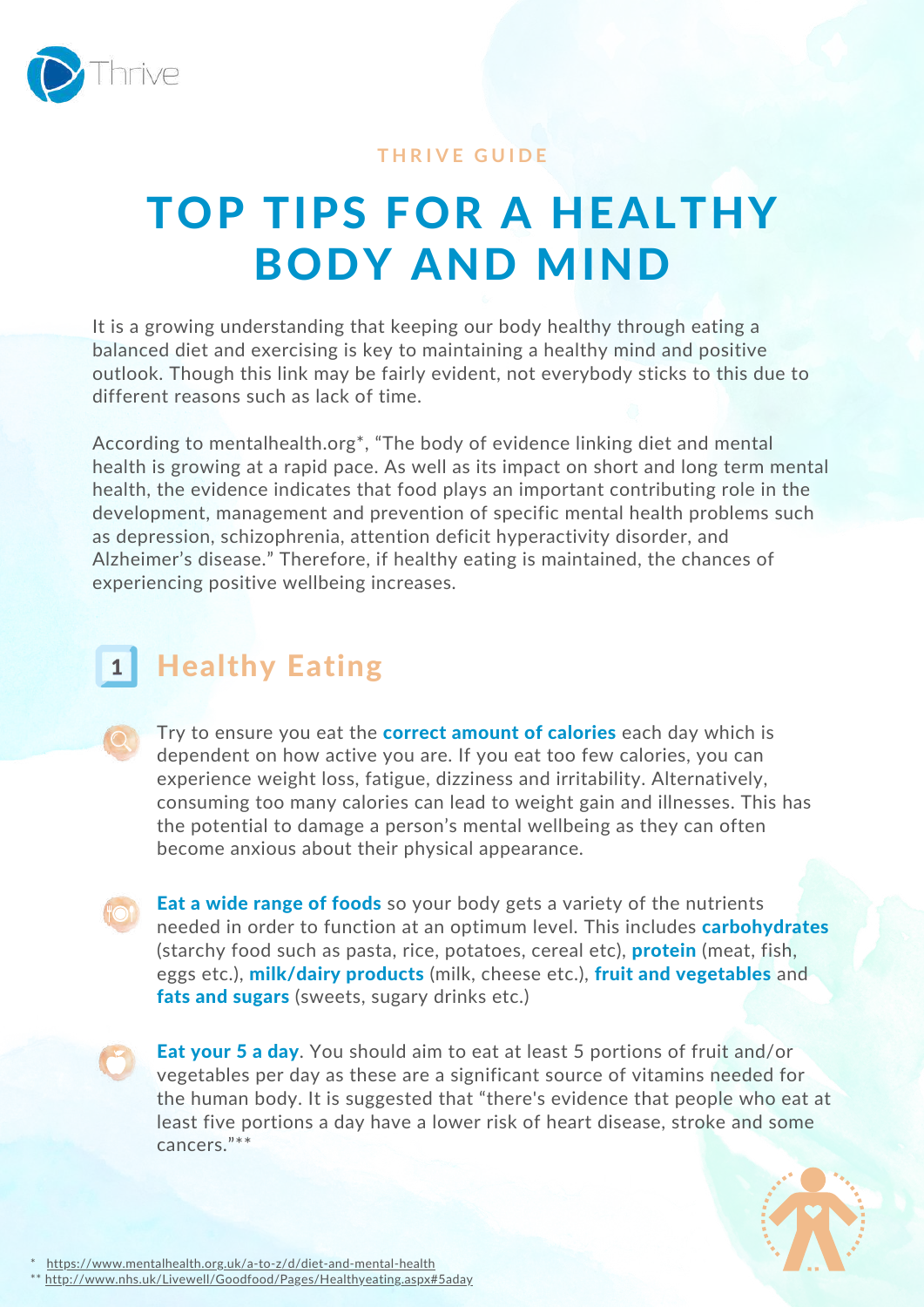

## **T H R I V E G U I D E**

## TOP TIPS FOR A HEALTHY BODY AND MIND

It is a growing understanding that keeping our body healthy through eating a balanced diet and exercising is key to maintaining a healthy mind and positive outlook. Though this link may be fairly evident, not everybody sticks to this due to different reasons such as lack of time.

According to mentalhealth.org\*, "The body of evidence linking diet and mental health is growing at a rapid pace. As well as its impact on short and long term mental health, the evidence indicates that food plays an important contributing role in the development, management and prevention of specific mental health problems such as depression, schizophrenia, attention deficit hyperactivity disorder, and Alzheimer's disease." Therefore, if healthy eating is maintained, the chances of experiencing positive wellbeing increases.

## **Healthy Eating**  $\mathbf{1}$

Try to ensure you eat the **correct amount of calories** each day which is dependent on how active you are. If you eat too few calories, you can experience weight loss, fatigue, dizziness and irritability. Alternatively, consuming too many calories can lead to weight gain and illnesses. This has the potential to damage a person's mental wellbeing as they can often become anxious about their physical appearance.

Eat a wide range of foods so your body gets a variety of the nutrients needed in order to function at an optimum level. This includes **carbohydrates** (starchy food such as pasta, rice, potatoes, cereal etc), **protein** (meat, fish, eggs etc.), milk/dairy products (milk, cheese etc.), fruit and vegetables and fats and sugars (sweets, sugary drinks etc.)

**Eat your 5 a day.** You should aim to eat at least 5 portions of fruit and/or vegetables per day as these are a significant source of vitamins needed for the human body. It is suggested that "there's evidence that people who eat at least five portions a day have a lower risk of heart disease, stroke and some cancers."\*\*